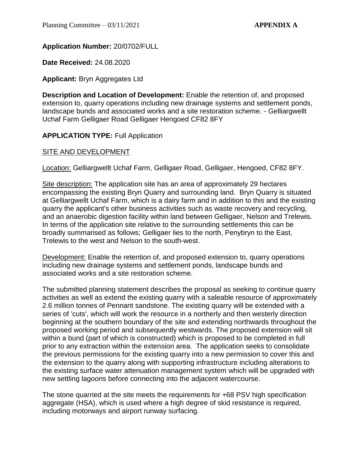# **Application Number:** 20/0702/FULL

**Date Received:** 24.08.2020

# **Applicant:** Bryn Aggregates Ltd

**Description and Location of Development:** Enable the retention of, and proposed extension to, quarry operations including new drainage systems and settlement ponds, landscape bunds and associated works and a site restoration scheme. - Gelliargwellt Uchaf Farm Gelligaer Road Gelligaer Hengoed CF82 8FY

# **APPLICATION TYPE: Full Application**

# SITE AND DEVELOPMENT

Location: Gelliargwellt Uchaf Farm, Gelligaer Road, Gelligaer, Hengoed, CF82 8FY.

Site description: The application site has an area of approximately 29 hectares encompassing the existing Bryn Quarry and surrounding land. Bryn Quarry is situated at Gelliargwellt Uchaf Farm, which is a dairy farm and in addition to this and the existing quarry the applicant's other business activities such as waste recovery and recycling, and an anaerobic digestion facility within land between Gelligaer, Nelson and Trelewis. In terms of the application site relative to the surrounding settlements this can be broadly summarised as follows; Gelligaer lies to the north, Penybryn to the East, Trelewis to the west and Nelson to the south-west.

Development: Enable the retention of, and proposed extension to, quarry operations including new drainage systems and settlement ponds, landscape bunds and associated works and a site restoration scheme.

The submitted planning statement describes the proposal as seeking to continue quarry activities as well as extend the existing quarry with a saleable resource of approximately 2.6 million tonnes of Pennant sandstone. The existing quarry will be extended with a series of 'cuts', which will work the resource in a northerly and then westerly direction beginning at the southern boundary of the site and extending northwards throughout the proposed working period and subsequently westwards. The proposed extension will sit within a bund (part of which is constructed) which is proposed to be completed in full prior to any extraction within the extension area. The application seeks to consolidate the previous permissions for the existing quarry into a new permission to cover this and the extension to the quarry along with supporting infrastructure including alterations to the existing surface water attenuation management system which will be upgraded with new settling lagoons before connecting into the adjacent watercourse.

The stone quarried at the site meets the requirements for +68 PSV high specification aggregate (HSA), which is used where a high degree of skid resistance is required, including motorways and airport runway surfacing.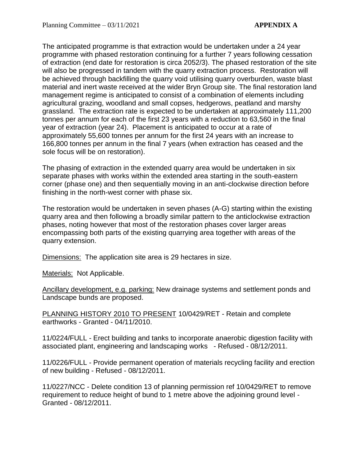The anticipated programme is that extraction would be undertaken under a 24 year programme with phased restoration continuing for a further 7 years following cessation of extraction (end date for restoration is circa 2052/3). The phased restoration of the site will also be progressed in tandem with the quarry extraction process. Restoration will be achieved through backfilling the quarry void utilising quarry overburden, waste blast material and inert waste received at the wider Bryn Group site. The final restoration land management regime is anticipated to consist of a combination of elements including agricultural grazing, woodland and small copses, hedgerows, peatland and marshy grassland. The extraction rate is expected to be undertaken at approximately 111,200 tonnes per annum for each of the first 23 years with a reduction to 63,560 in the final year of extraction (year 24). Placement is anticipated to occur at a rate of approximately 55,600 tonnes per annum for the first 24 years with an increase to 166,800 tonnes per annum in the final 7 years (when extraction has ceased and the sole focus will be on restoration).

The phasing of extraction in the extended quarry area would be undertaken in six separate phases with works within the extended area starting in the south-eastern corner (phase one) and then sequentially moving in an anti-clockwise direction before finishing in the north-west corner with phase six.

The restoration would be undertaken in seven phases (A-G) starting within the existing quarry area and then following a broadly similar pattern to the anticlockwise extraction phases, noting however that most of the restoration phases cover larger areas encompassing both parts of the existing quarrying area together with areas of the quarry extension.

Dimensions: The application site area is 29 hectares in size.

Materials: Not Applicable.

Ancillary development, e.g. parking: New drainage systems and settlement ponds and Landscape bunds are proposed.

PLANNING HISTORY 2010 TO PRESENT 10/0429/RET - Retain and complete earthworks - Granted - 04/11/2010.

11/0224/FULL - Erect building and tanks to incorporate anaerobic digestion facility with associated plant, engineering and landscaping works - Refused - 08/12/2011.

11/0226/FULL - Provide permanent operation of materials recycling facility and erection of new building - Refused - 08/12/2011.

11/0227/NCC - Delete condition 13 of planning permission ref 10/0429/RET to remove requirement to reduce height of bund to 1 metre above the adjoining ground level - Granted - 08/12/2011.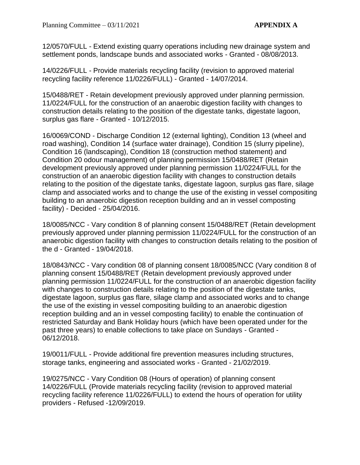12/0570/FULL - Extend existing quarry operations including new drainage system and settlement ponds, landscape bunds and associated works - Granted - 08/08/2013.

14/0226/FULL - Provide materials recycling facility (revision to approved material recycling facility reference 11/0226/FULL) - Granted - 14/07/2014.

15/0488/RET - Retain development previously approved under planning permission. 11/0224/FULL for the construction of an anaerobic digestion facility with changes to construction details relating to the position of the digestate tanks, digestate lagoon, surplus gas flare - Granted - 10/12/2015.

16/0069/COND - Discharge Condition 12 (external lighting), Condition 13 (wheel and road washing), Condition 14 (surface water drainage), Condition 15 (slurry pipeline), Condition 16 (landscaping), Condition 18 (construction method statement) and Condition 20 odour management) of planning permission 15/0488/RET (Retain development previously approved under planning permission 11/0224/FULL for the construction of an anaerobic digestion facility with changes to construction details relating to the position of the digestate tanks, digestate lagoon, surplus gas flare, silage clamp and associated works and to change the use of the existing in vessel compositing building to an anaerobic digestion reception building and an in vessel composting facility) - Decided - 25/04/2016.

18/0085/NCC - Vary condition 8 of planning consent 15/0488/RET (Retain development previously approved under planning permission 11/0224/FULL for the construction of an anaerobic digestion facility with changes to construction details relating to the position of the d - Granted - 19/04/2018.

18/0843/NCC - Vary condition 08 of planning consent 18/0085/NCC (Vary condition 8 of planning consent 15/0488/RET (Retain development previously approved under planning permission 11/0224/FULL for the construction of an anaerobic digestion facility with changes to construction details relating to the position of the digestate tanks, digestate lagoon, surplus gas flare, silage clamp and associated works and to change the use of the existing in vessel compositing building to an anaerobic digestion reception building and an in vessel composting facility) to enable the continuation of restricted Saturday and Bank Holiday hours (which have been operated under for the past three years) to enable collections to take place on Sundays - Granted - 06/12/2018.

19/0011/FULL - Provide additional fire prevention measures including structures, storage tanks, engineering and associated works - Granted - 21/02/2019.

19/0275/NCC - Vary Condition 08 (Hours of operation) of planning consent 14/0226/FULL (Provide materials recycling facility (revision to approved material recycling facility reference 11/0226/FULL) to extend the hours of operation for utility providers - Refused -12/09/2019.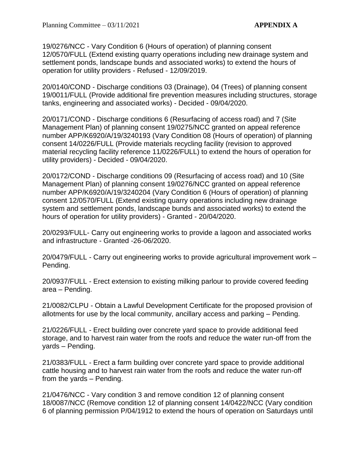19/0276/NCC - Vary Condition 6 (Hours of operation) of planning consent 12/0570/FULL (Extend existing quarry operations including new drainage system and settlement ponds, landscape bunds and associated works) to extend the hours of operation for utility providers - Refused - 12/09/2019.

20/0140/COND - Discharge conditions 03 (Drainage), 04 (Trees) of planning consent 19/0011/FULL (Provide additional fire prevention measures including structures, storage tanks, engineering and associated works) - Decided - 09/04/2020.

20/0171/COND - Discharge conditions 6 (Resurfacing of access road) and 7 (Site Management Plan) of planning consent 19/0275/NCC granted on appeal reference number APP/K6920/A/19/3240193 (Vary Condition 08 (Hours of operation) of planning consent 14/0226/FULL (Provide materials recycling facility (revision to approved material recycling facility reference 11/0226/FULL) to extend the hours of operation for utility providers) - Decided - 09/04/2020.

20/0172/COND - Discharge conditions 09 (Resurfacing of access road) and 10 (Site Management Plan) of planning consent 19/0276/NCC granted on appeal reference number APP/K6920/A/19/3240204 (Vary Condition 6 (Hours of operation) of planning consent 12/0570/FULL (Extend existing quarry operations including new drainage system and settlement ponds, landscape bunds and associated works) to extend the hours of operation for utility providers) - Granted - 20/04/2020.

20/0293/FULL- Carry out engineering works to provide a lagoon and associated works and infrastructure - Granted -26-06/2020.

20/0479/FULL - Carry out engineering works to provide agricultural improvement work – Pending.

20/0937/FULL - Erect extension to existing milking parlour to provide covered feeding area – Pending.

21/0082/CLPU - Obtain a Lawful Development Certificate for the proposed provision of allotments for use by the local community, ancillary access and parking – Pending.

21/0226/FULL - Erect building over concrete yard space to provide additional feed storage, and to harvest rain water from the roofs and reduce the water run-off from the yards – Pending.

21/0383/FULL - Erect a farm building over concrete yard space to provide additional cattle housing and to harvest rain water from the roofs and reduce the water run-off from the yards – Pending.

21/0476/NCC - Vary condition 3 and remove condition 12 of planning consent 18/0087/NCC (Remove condition 12 of planning consent 14/0422/NCC (Vary condition 6 of planning permission P/04/1912 to extend the hours of operation on Saturdays until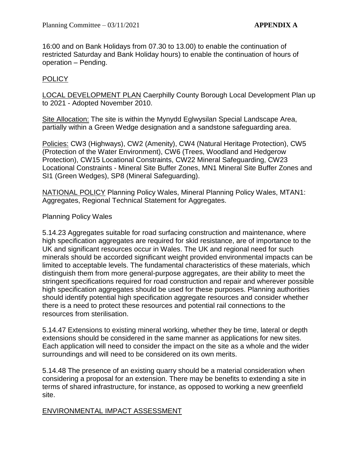16:00 and on Bank Holidays from 07.30 to 13.00) to enable the continuation of restricted Saturday and Bank Holiday hours) to enable the continuation of hours of operation – Pending.

# POLICY

LOCAL DEVELOPMENT PLAN Caerphilly County Borough Local Development Plan up to 2021 - Adopted November 2010.

Site Allocation: The site is within the Mynydd Eglwysilan Special Landscape Area, partially within a Green Wedge designation and a sandstone safeguarding area.

Policies: CW3 (Highways), CW2 (Amenity), CW4 (Natural Heritage Protection), CW5 (Protection of the Water Environment), CW6 (Trees, Woodland and Hedgerow Protection), CW15 Locational Constraints, CW22 Mineral Safeguarding, CW23 Locational Constraints - Mineral Site Buffer Zones, MN1 Mineral Site Buffer Zones and SI1 (Green Wedges), SP8 (Mineral Safeguarding).

NATIONAL POLICY Planning Policy Wales, Mineral Planning Policy Wales, MTAN1: Aggregates, Regional Technical Statement for Aggregates.

# Planning Policy Wales

5.14.23 Aggregates suitable for road surfacing construction and maintenance, where high specification aggregates are required for skid resistance, are of importance to the UK and significant resources occur in Wales. The UK and regional need for such minerals should be accorded significant weight provided environmental impacts can be limited to acceptable levels. The fundamental characteristics of these materials, which distinguish them from more general-purpose aggregates, are their ability to meet the stringent specifications required for road construction and repair and wherever possible high specification aggregates should be used for these purposes. Planning authorities should identify potential high specification aggregate resources and consider whether there is a need to protect these resources and potential rail connections to the resources from sterilisation.

5.14.47 Extensions to existing mineral working, whether they be time, lateral or depth extensions should be considered in the same manner as applications for new sites. Each application will need to consider the impact on the site as a whole and the wider surroundings and will need to be considered on its own merits.

5.14.48 The presence of an existing quarry should be a material consideration when considering a proposal for an extension. There may be benefits to extending a site in terms of shared infrastructure, for instance, as opposed to working a new greenfield site.

# ENVIRONMENTAL IMPACT ASSESSMENT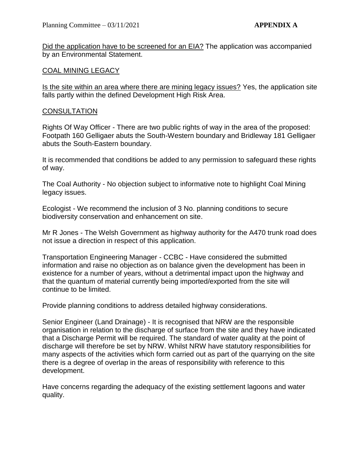Did the application have to be screened for an EIA? The application was accompanied by an Environmental Statement.

# COAL MINING LEGACY

Is the site within an area where there are mining legacy issues? Yes, the application site falls partly within the defined Development High Risk Area.

# **CONSULTATION**

Rights Of Way Officer - There are two public rights of way in the area of the proposed: Footpath 160 Gelligaer abuts the South-Western boundary and Bridleway 181 Gelligaer abuts the South-Eastern boundary.

It is recommended that conditions be added to any permission to safeguard these rights of way.

The Coal Authority - No objection subject to informative note to highlight Coal Mining legacy issues.

Ecologist - We recommend the inclusion of 3 No. planning conditions to secure biodiversity conservation and enhancement on site.

Mr R Jones - The Welsh Government as highway authority for the A470 trunk road does not issue a direction in respect of this application.

Transportation Engineering Manager - CCBC - Have considered the submitted information and raise no objection as on balance given the development has been in existence for a number of years, without a detrimental impact upon the highway and that the quantum of material currently being imported/exported from the site will continue to be limited.

Provide planning conditions to address detailed highway considerations.

Senior Engineer (Land Drainage) - It is recognised that NRW are the responsible organisation in relation to the discharge of surface from the site and they have indicated that a Discharge Permit will be required. The standard of water quality at the point of discharge will therefore be set by NRW. Whilst NRW have statutory responsibilities for many aspects of the activities which form carried out as part of the quarrying on the site there is a degree of overlap in the areas of responsibility with reference to this development.

Have concerns regarding the adequacy of the existing settlement lagoons and water quality.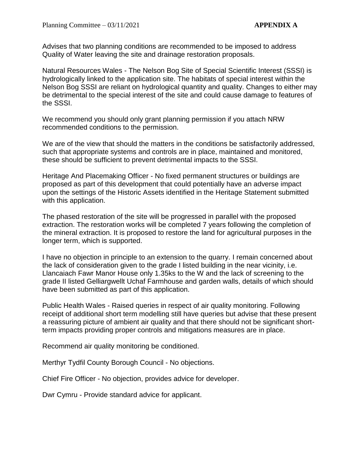Advises that two planning conditions are recommended to be imposed to address Quality of Water leaving the site and drainage restoration proposals.

Natural Resources Wales - The Nelson Bog Site of Special Scientific Interest (SSSI) is hydrologically linked to the application site. The habitats of special interest within the Nelson Bog SSSI are reliant on hydrological quantity and quality. Changes to either may be detrimental to the special interest of the site and could cause damage to features of the SSSI.

We recommend you should only grant planning permission if you attach NRW recommended conditions to the permission.

We are of the view that should the matters in the conditions be satisfactorily addressed, such that appropriate systems and controls are in place, maintained and monitored, these should be sufficient to prevent detrimental impacts to the SSSI.

Heritage And Placemaking Officer - No fixed permanent structures or buildings are proposed as part of this development that could potentially have an adverse impact upon the settings of the Historic Assets identified in the Heritage Statement submitted with this application.

The phased restoration of the site will be progressed in parallel with the proposed extraction. The restoration works will be completed 7 years following the completion of the mineral extraction. It is proposed to restore the land for agricultural purposes in the longer term, which is supported.

I have no objection in principle to an extension to the quarry. I remain concerned about the lack of consideration given to the grade I listed building in the near vicinity, i.e. Llancaiach Fawr Manor House only 1.35ks to the W and the lack of screening to the grade II listed Gelliargwellt Uchaf Farmhouse and garden walls, details of which should have been submitted as part of this application.

Public Health Wales - Raised queries in respect of air quality monitoring. Following receipt of additional short term modelling still have queries but advise that these present a reassuring picture of ambient air quality and that there should not be significant shortterm impacts providing proper controls and mitigations measures are in place.

Recommend air quality monitoring be conditioned.

Merthyr Tydfil County Borough Council - No objections.

Chief Fire Officer - No objection, provides advice for developer.

Dwr Cymru - Provide standard advice for applicant.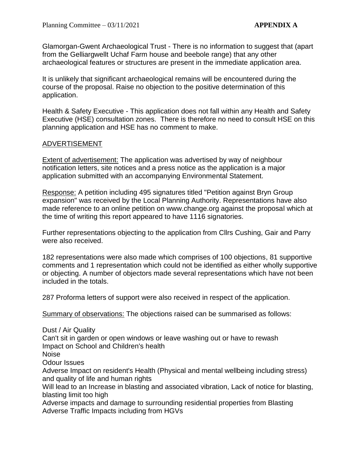Glamorgan-Gwent Archaeological Trust - There is no information to suggest that (apart from the Gelliargwellt Uchaf Farm house and beebole range) that any other archaeological features or structures are present in the immediate application area.

It is unlikely that significant archaeological remains will be encountered during the course of the proposal. Raise no objection to the positive determination of this application.

Health & Safety Executive - This application does not fall within any Health and Safety Executive (HSE) consultation zones. There is therefore no need to consult HSE on this planning application and HSE has no comment to make.

# ADVERTISEMENT

Extent of advertisement: The application was advertised by way of neighbour notification letters, site notices and a press notice as the application is a major application submitted with an accompanying Environmental Statement.

Response: A petition including 495 signatures titled "Petition against Bryn Group expansion" was received by the Local Planning Authority. Representations have also made reference to an online petition on www.change.org against the proposal which at the time of writing this report appeared to have 1116 signatories.

Further representations objecting to the application from Cllrs Cushing, Gair and Parry were also received.

182 representations were also made which comprises of 100 objections, 81 supportive comments and 1 representation which could not be identified as either wholly supportive or objecting. A number of objectors made several representations which have not been included in the totals.

287 Proforma letters of support were also received in respect of the application.

Summary of observations: The objections raised can be summarised as follows:

Dust / Air Quality Can't sit in garden or open windows or leave washing out or have to rewash Impact on School and Children's health Noise Odour Issues Adverse Impact on resident's Health (Physical and mental wellbeing including stress) and quality of life and human rights Will lead to an Increase in blasting and associated vibration, Lack of notice for blasting, blasting limit too high Adverse impacts and damage to surrounding residential properties from Blasting

Adverse Traffic Impacts including from HGVs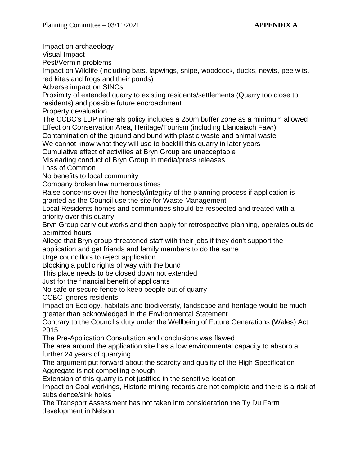Impact on archaeology Visual Impact Pest/Vermin problems Impact on Wildlife (including bats, lapwings, snipe, woodcock, ducks, newts, pee wits, red kites and frogs and their ponds) Adverse impact on SINCs Proximity of extended quarry to existing residents/settlements (Quarry too close to residents) and possible future encroachment Property devaluation The CCBC's LDP minerals policy includes a 250m buffer zone as a minimum allowed Effect on Conservation Area, Heritage/Tourism (including Llancaiach Fawr) Contamination of the ground and bund with plastic waste and animal waste We cannot know what they will use to backfill this quarry in later years Cumulative effect of activities at Bryn Group are unacceptable Misleading conduct of Bryn Group in media/press releases Loss of Common No benefits to local community Company broken law numerous times Raise concerns over the honesty/integrity of the planning process if application is granted as the Council use the site for Waste Management Local Residents homes and communities should be respected and treated with a priority over this quarry Bryn Group carry out works and then apply for retrospective planning, operates outside permitted hours Allege that Bryn group threatened staff with their jobs if they don't support the application and get friends and family members to do the same Urge councillors to reject application Blocking a public rights of way with the bund This place needs to be closed down not extended Just for the financial benefit of applicants No safe or secure fence to keep people out of quarry CCBC ignores residents Impact on Ecology, habitats and biodiversity, landscape and heritage would be much greater than acknowledged in the Environmental Statement Contrary to the Council's duty under the Wellbeing of Future Generations (Wales) Act 2015 The Pre-Application Consultation and conclusions was flawed The area around the application site has a low environmental capacity to absorb a further 24 years of quarrying The argument put forward about the scarcity and quality of the High Specification Aggregate is not compelling enough Extension of this quarry is not justified in the sensitive location Impact on Coal workings, Historic mining records are not complete and there is a risk of subsidence/sink holes The Transport Assessment has not taken into consideration the Ty Du Farm

development in Nelson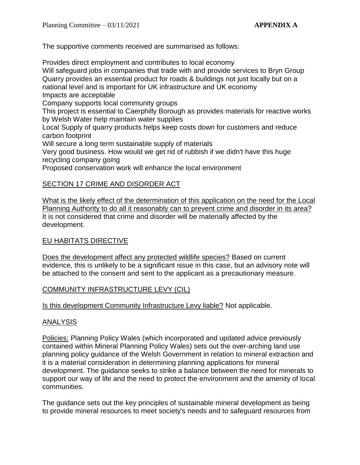The supportive comments received are summarised as follows:

Provides direct employment and contributes to local economy

Will safeguard jobs in companies that trade with and provide services to Bryn Group Quarry provides an essential product for roads & buildings not just locally but on a national level and is important for UK infrastructure and UK economy Impacts are acceptable

Company supports local community groups

This project is essential to Caerphilly Borough as provides materials for reactive works by Welsh Water help maintain water supplies

Local Supply of quarry products helps keep costs down for customers and reduce carbon footprint

Will secure a long term sustainable supply of materials

Very good business. How would we get rid of rubbish if we didn't have this huge recycling company going

Proposed conservation work will enhance the local environment

# SECTION 17 CRIME AND DISORDER ACT

What is the likely effect of the determination of this application on the need for the Local Planning Authority to do all it reasonably can to prevent crime and disorder in its area? It is not considered that crime and disorder will be materially affected by the development.

# EU HABITATS DIRECTIVE

Does the development affect any protected wildlife species? Based on current evidence, this is unlikely to be a significant issue in this case, but an advisory note will be attached to the consent and sent to the applicant as a precautionary measure.

# COMMUNITY INFRASTRUCTURE LEVY (CIL)

Is this development Community Infrastructure Levy liable? Not applicable.

# ANALYSIS

Policies: Planning Policy Wales (which incorporated and updated advice previously contained within Mineral Planning Policy Wales) sets out the over-arching land use planning policy guidance of the Welsh Government in relation to mineral extraction and it is a material consideration in determining planning applications for mineral development. The guidance seeks to strike a balance between the need for minerals to support our way of life and the need to protect the environment and the amenity of local communities.

The guidance sets out the key principles of sustainable mineral development as being to provide mineral resources to meet society's needs and to safeguard resources from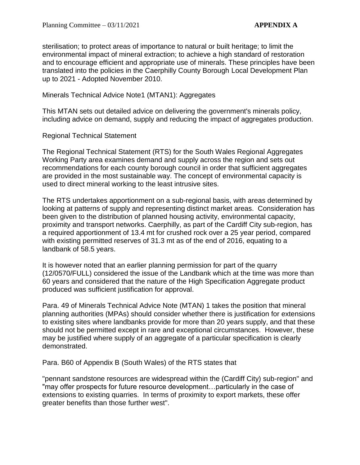sterilisation; to protect areas of importance to natural or built heritage; to limit the environmental impact of mineral extraction; to achieve a high standard of restoration and to encourage efficient and appropriate use of minerals. These principles have been translated into the policies in the Caerphilly County Borough Local Development Plan up to 2021 - Adopted November 2010.

Minerals Technical Advice Note1 (MTAN1): Aggregates

This MTAN sets out detailed advice on delivering the government's minerals policy, including advice on demand, supply and reducing the impact of aggregates production.

Regional Technical Statement

The Regional Technical Statement (RTS) for the South Wales Regional Aggregates Working Party area examines demand and supply across the region and sets out recommendations for each county borough council in order that sufficient aggregates are provided in the most sustainable way. The concept of environmental capacity is used to direct mineral working to the least intrusive sites.

The RTS undertakes apportionment on a sub-regional basis, with areas determined by looking at patterns of supply and representing distinct market areas. Consideration has been given to the distribution of planned housing activity, environmental capacity, proximity and transport networks. Caerphilly, as part of the Cardiff City sub-region, has a required apportionment of 13.4 mt for crushed rock over a 25 year period, compared with existing permitted reserves of 31.3 mt as of the end of 2016, equating to a landbank of 58.5 years.

It is however noted that an earlier planning permission for part of the quarry (12/0570/FULL) considered the issue of the Landbank which at the time was more than 60 years and considered that the nature of the High Specification Aggregate product produced was sufficient justification for approval.

Para. 49 of Minerals Technical Advice Note (MTAN) 1 takes the position that mineral planning authorities (MPAs) should consider whether there is justification for extensions to existing sites where landbanks provide for more than 20 years supply, and that these should not be permitted except in rare and exceptional circumstances. However, these may be justified where supply of an aggregate of a particular specification is clearly demonstrated.

Para. B60 of Appendix B (South Wales) of the RTS states that

"pennant sandstone resources are widespread within the (Cardiff City) sub-region" and "may offer prospects for future resource development…particularly in the case of extensions to existing quarries. In terms of proximity to export markets, these offer greater benefits than those further west".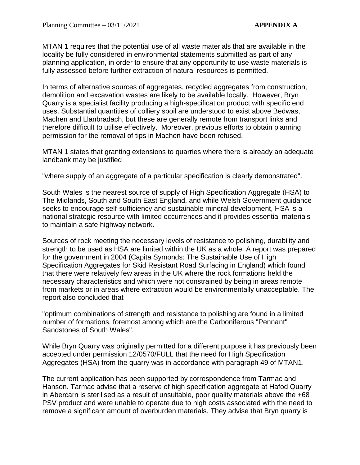MTAN 1 requires that the potential use of all waste materials that are available in the locality be fully considered in environmental statements submitted as part of any planning application, in order to ensure that any opportunity to use waste materials is fully assessed before further extraction of natural resources is permitted.

In terms of alternative sources of aggregates, recycled aggregates from construction, demolition and excavation wastes are likely to be available locally. However, Bryn Quarry is a specialist facility producing a high-specification product with specific end uses. Substantial quantities of colliery spoil are understood to exist above Bedwas, Machen and Llanbradach, but these are generally remote from transport links and therefore difficult to utilise effectively. Moreover, previous efforts to obtain planning permission for the removal of tips in Machen have been refused.

MTAN 1 states that granting extensions to quarries where there is already an adequate landbank may be justified

"where supply of an aggregate of a particular specification is clearly demonstrated".

South Wales is the nearest source of supply of High Specification Aggregate (HSA) to The Midlands, South and South East England, and while Welsh Government guidance seeks to encourage self-sufficiency and sustainable mineral development, HSA is a national strategic resource with limited occurrences and it provides essential materials to maintain a safe highway network.

Sources of rock meeting the necessary levels of resistance to polishing, durability and strength to be used as HSA are limited within the UK as a whole. A report was prepared for the government in 2004 (Capita Symonds: The Sustainable Use of High Specification Aggregates for Skid Resistant Road Surfacing in England) which found that there were relatively few areas in the UK where the rock formations held the necessary characteristics and which were not constrained by being in areas remote from markets or in areas where extraction would be environmentally unacceptable. The report also concluded that

"optimum combinations of strength and resistance to polishing are found in a limited number of formations, foremost among which are the Carboniferous "Pennant" Sandstones of South Wales".

While Bryn Quarry was originally permitted for a different purpose it has previously been accepted under permission 12/0570/FULL that the need for High Specification Aggregates (HSA) from the quarry was in accordance with paragraph 49 of MTAN1.

The current application has been supported by correspondence from Tarmac and Hanson. Tarmac advise that a reserve of high specification aggregate at Hafod Quarry in Abercarn is sterilised as a result of unsuitable, poor quality materials above the +68 PSV product and were unable to operate due to high costs associated with the need to remove a significant amount of overburden materials. They advise that Bryn quarry is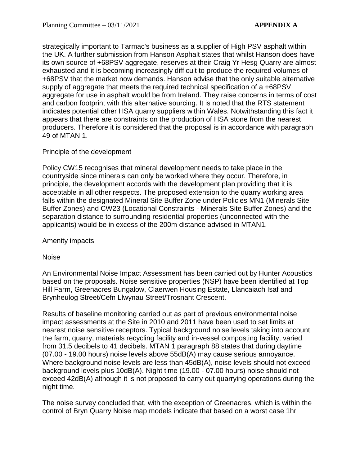strategically important to Tarmac's business as a supplier of High PSV asphalt within the UK. A further submission from Hanson Asphalt states that whilst Hanson does have its own source of +68PSV aggregate, reserves at their Craig Yr Hesg Quarry are almost exhausted and it is becoming increasingly difficult to produce the required volumes of +68PSV that the market now demands. Hanson advise that the only suitable alternative supply of aggregate that meets the required technical specification of a +68PSV aggregate for use in asphalt would be from Ireland. They raise concerns in terms of cost and carbon footprint with this alternative sourcing. It is noted that the RTS statement indicates potential other HSA quarry suppliers within Wales. Notwithstanding this fact it appears that there are constraints on the production of HSA stone from the nearest producers. Therefore it is considered that the proposal is in accordance with paragraph 49 of MTAN 1.

# Principle of the development

Policy CW15 recognises that mineral development needs to take place in the countryside since minerals can only be worked where they occur. Therefore, in principle, the development accords with the development plan providing that it is acceptable in all other respects. The proposed extension to the quarry working area falls within the designated Mineral Site Buffer Zone under Policies MN1 (Minerals Site Buffer Zones) and CW23 (Locational Constraints - Minerals Site Buffer Zones) and the separation distance to surrounding residential properties (unconnected with the applicants) would be in excess of the 200m distance advised in MTAN1.

Amenity impacts

Noise

An Environmental Noise Impact Assessment has been carried out by Hunter Acoustics based on the proposals. Noise sensitive properties (NSP) have been identified at Top Hill Farm, Greenacres Bungalow, Claerwen Housing Estate, Llancaiach Isaf and Brynheulog Street/Cefn Llwynau Street/Trosnant Crescent.

Results of baseline monitoring carried out as part of previous environmental noise impact assessments at the Site in 2010 and 2011 have been used to set limits at nearest noise sensitive receptors. Typical background noise levels taking into account the farm, quarry, materials recycling facility and in-vessel composting facility, varied from 31.5 decibels to 41 decibels. MTAN 1 paragraph 88 states that during daytime (07.00 - 19.00 hours) noise levels above 55dB(A) may cause serious annoyance. Where background noise levels are less than 45dB(A), noise levels should not exceed background levels plus 10dB(A). Night time (19.00 - 07.00 hours) noise should not exceed 42dB(A) although it is not proposed to carry out quarrying operations during the night time.

The noise survey concluded that, with the exception of Greenacres, which is within the control of Bryn Quarry Noise map models indicate that based on a worst case 1hr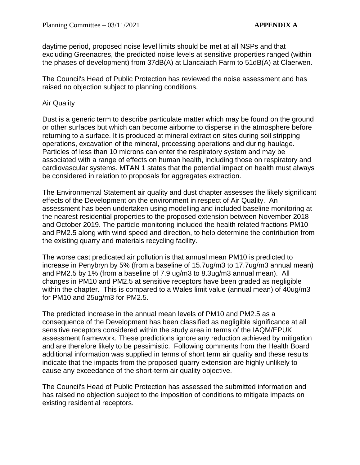daytime period, proposed noise level limits should be met at all NSPs and that excluding Greenacres, the predicted noise levels at sensitive properties ranged (within the phases of development) from 37dB(A) at Llancaiach Farm to 51dB(A) at Claerwen.

The Council's Head of Public Protection has reviewed the noise assessment and has raised no objection subject to planning conditions.

### Air Quality

Dust is a generic term to describe particulate matter which may be found on the ground or other surfaces but which can become airborne to disperse in the atmosphere before returning to a surface. It is produced at mineral extraction sites during soil stripping operations, excavation of the mineral, processing operations and during haulage. Particles of less than 10 microns can enter the respiratory system and may be associated with a range of effects on human health, including those on respiratory and cardiovascular systems. MTAN 1 states that the potential impact on health must always be considered in relation to proposals for aggregates extraction.

The Environmental Statement air quality and dust chapter assesses the likely significant effects of the Development on the environment in respect of Air Quality. An assessment has been undertaken using modelling and included baseline monitoring at the nearest residential properties to the proposed extension between November 2018 and October 2019. The particle monitoring included the health related fractions PM10 and PM2.5 along with wind speed and direction, to help determine the contribution from the existing quarry and materials recycling facility.

The worse cast predicated air pollution is that annual mean PM10 is predicted to increase in Penybryn by 5% (from a baseline of 15.7ug/m3 to 17.7ug/m3 annual mean) and PM2.5 by 1% (from a baseline of 7.9 ug/m3 to 8.3ug/m3 annual mean). All changes in PM10 and PM2.5 at sensitive receptors have been graded as negligible within the chapter. This is compared to a Wales limit value (annual mean) of 40ug/m3 for PM10 and 25ug/m3 for PM2.5.

The predicted increase in the annual mean levels of PM10 and PM2.5 as a consequence of the Development has been classified as negligible significance at all sensitive receptors considered within the study area in terms of the IAQM/EPUK assessment framework. These predictions ignore any reduction achieved by mitigation and are therefore likely to be pessimistic. Following comments from the Health Board additional information was supplied in terms of short term air quality and these results indicate that the impacts from the proposed quarry extension are highly unlikely to cause any exceedance of the short-term air quality objective.

The Council's Head of Public Protection has assessed the submitted information and has raised no objection subject to the imposition of conditions to mitigate impacts on existing residential receptors.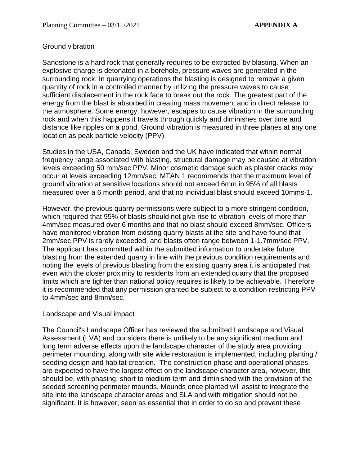# Ground vibration

Sandstone is a hard rock that generally requires to be extracted by blasting. When an explosive charge is detonated in a borehole, pressure waves are generated in the surrounding rock. In quarrying operations the blasting is designed to remove a given quantity of rock in a controlled manner by utilizing the pressure waves to cause sufficient displacement in the rock face to break out the rock. The greatest part of the energy from the blast is absorbed in creating mass movement and in direct release to the atmosphere. Some energy, however, escapes to cause vibration in the surrounding rock and when this happens it travels through quickly and diminishes over time and distance like ripples on a pond. Ground vibration is measured in three planes at any one location as peak particle velocity (PPV).

Studies in the USA, Canada, Sweden and the UK have indicated that within normal frequency range associated with blasting, structural damage may be caused at vibration levels exceeding 50 mm/sec PPV. Minor cosmetic damage such as plaster cracks may occur at levels exceeding 12mm/sec. MTAN 1 recommends that the maximum level of ground vibration at sensitive locations should not exceed 6mm in 95% of all blasts measured over a 6 month period, and that no individual blast should exceed 10mms-1.

However, the previous quarry permissions were subject to a more stringent condition, which required that 95% of blasts should not give rise to vibration levels of more than 4mm/sec measured over 6 months and that no blast should exceed 8mm/sec. Officers have monitored vibration from existing quarry blasts at the site and have found that 2mm/sec PPV is rarely exceeded, and blasts often range between 1-1.7mm/sec PPV. The applicant has committed within the submitted information to undertake future blasting from the extended quarry in line with the previous condition requirements and noting the levels of previous blasting from the existing quarry area it is anticipated that even with the closer proximity to residents from an extended quarry that the proposed limits which are tighter than national policy requires is likely to be achievable. Therefore it is recommended that any permission granted be subject to a condition restricting PPV to 4mm/sec and 8mm/sec.

#### Landscape and Visual impact

The Council's Landscape Officer has reviewed the submitted Landscape and Visual Assessment (LVA) and considers there is unlikely to be any significant medium and long term adverse effects upon the landscape character of the study area providing perimeter mounding, along with site wide restoration is implemented, including planting / seeding design and habitat creation. The construction phase and operational phases are expected to have the largest effect on the landscape character area, however, this should be, with phasing, short to medium term and diminished with the provision of the seeded screening perimeter mounds. Mounds once planted will assist to integrate the site into the landscape character areas and SLA and with mitigation should not be significant. It is however, seen as essential that in order to do so and prevent these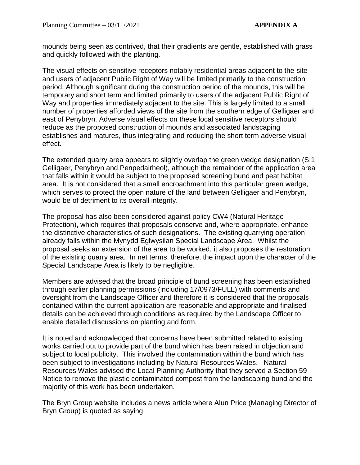mounds being seen as contrived, that their gradients are gentle, established with grass and quickly followed with the planting.

The visual effects on sensitive receptors notably residential areas adjacent to the site and users of adjacent Public Right of Way will be limited primarily to the construction period. Although significant during the construction period of the mounds, this will be temporary and short term and limited primarily to users of the adjacent Public Right of Way and properties immediately adjacent to the site. This is largely limited to a small number of properties afforded views of the site from the southern edge of Gelligaer and east of Penybryn. Adverse visual effects on these local sensitive receptors should reduce as the proposed construction of mounds and associated landscaping establishes and matures, thus integrating and reducing the short term adverse visual effect.

The extended quarry area appears to slightly overlap the green wedge designation (SI1 Gelligaer, Penybryn and Penpedairheol), although the remainder of the application area that falls within it would be subject to the proposed screening bund and peat habitat area. It is not considered that a small encroachment into this particular green wedge, which serves to protect the open nature of the land between Gelligaer and Penybryn, would be of detriment to its overall integrity.

The proposal has also been considered against policy CW4 (Natural Heritage Protection), which requires that proposals conserve and, where appropriate, enhance the distinctive characteristics of such designations. The existing quarrying operation already falls within the Mynydd Eglwysilan Special Landscape Area. Whilst the proposal seeks an extension of the area to be worked, it also proposes the restoration of the existing quarry area. In net terms, therefore, the impact upon the character of the Special Landscape Area is likely to be negligible.

Members are advised that the broad principle of bund screening has been established through earlier planning permissions (including 17/0973/FULL) with comments and oversight from the Landscape Officer and therefore it is considered that the proposals contained within the current application are reasonable and appropriate and finalised details can be achieved through conditions as required by the Landscape Officer to enable detailed discussions on planting and form.

It is noted and acknowledged that concerns have been submitted related to existing works carried out to provide part of the bund which has been raised in objection and subject to local publicity. This involved the contamination within the bund which has been subject to investigations including by Natural Resources Wales. Natural Resources Wales advised the Local Planning Authority that they served a Section 59 Notice to remove the plastic contaminated compost from the landscaping bund and the majority of this work has been undertaken.

The Bryn Group website includes a news article where Alun Price (Managing Director of Bryn Group) is quoted as saying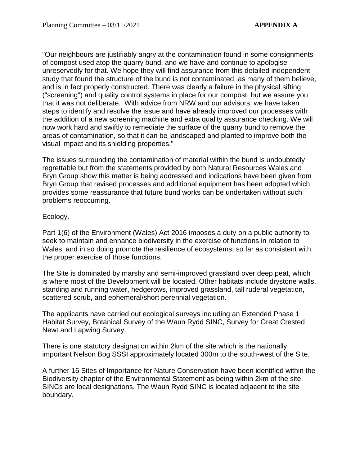"Our neighbours are justifiably angry at the contamination found in some consignments of compost used atop the quarry bund, and we have and continue to apologise unreservedly for that. We hope they will find assurance from this detailed independent study that found the structure of the bund is not contaminated, as many of them believe, and is in fact properly constructed. There was clearly a failure in the physical sifting ("screening") and quality control systems in place for our compost, but we assure you that it was not deliberate. With advice from NRW and our advisors, we have taken steps to identify and resolve the issue and have already improved our processes with the addition of a new screening machine and extra quality assurance checking. We will now work hard and swiftly to remediate the surface of the quarry bund to remove the areas of contamination, so that it can be landscaped and planted to improve both the visual impact and its shielding properties."

The issues surrounding the contamination of material within the bund is undoubtedly regrettable but from the statements provided by both Natural Resources Wales and Bryn Group show this matter is being addressed and indications have been given from Bryn Group that revised processes and additional equipment has been adopted which provides some reassurance that future bund works can be undertaken without such problems reoccurring.

# Ecology.

Part 1(6) of the Environment (Wales) Act 2016 imposes a duty on a public authority to seek to maintain and enhance biodiversity in the exercise of functions in relation to Wales, and in so doing promote the resilience of ecosystems, so far as consistent with the proper exercise of those functions.

The Site is dominated by marshy and semi-improved grassland over deep peat, which is where most of the Development will be located. Other habitats include drystone walls, standing and running water, hedgerows, improved grassland, tall ruderal vegetation, scattered scrub, and ephemeral/short perennial vegetation.

The applicants have carried out ecological surveys including an Extended Phase 1 Habitat Survey, Botanical Survey of the Waun Rydd SINC, Survey for Great Crested Newt and Lapwing Survey.

There is one statutory designation within 2km of the site which is the nationally important Nelson Bog SSSI approximately located 300m to the south-west of the Site.

A further 16 Sites of Importance for Nature Conservation have been identified within the Biodiversity chapter of the Environmental Statement as being within 2km of the site. SINCs are local designations. The Waun Rydd SINC is located adjacent to the site boundary.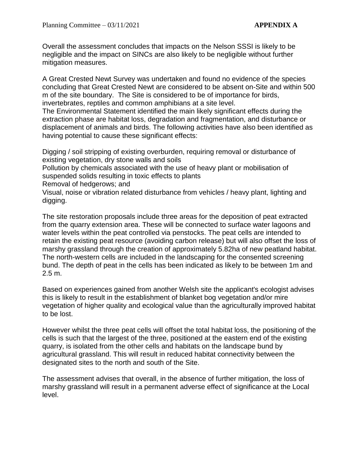Overall the assessment concludes that impacts on the Nelson SSSI is likely to be negligible and the impact on SINCs are also likely to be negligible without further mitigation measures.

A Great Crested Newt Survey was undertaken and found no evidence of the species concluding that Great Crested Newt are considered to be absent on-Site and within 500 m of the site boundary. The Site is considered to be of importance for birds, invertebrates, reptiles and common amphibians at a site level.

The Environmental Statement identified the main likely significant effects during the extraction phase are habitat loss, degradation and fragmentation, and disturbance or displacement of animals and birds. The following activities have also been identified as having potential to cause these significant effects:

Digging / soil stripping of existing overburden, requiring removal or disturbance of existing vegetation, dry stone walls and soils

Pollution by chemicals associated with the use of heavy plant or mobilisation of suspended solids resulting in toxic effects to plants

Removal of hedgerows; and

Visual, noise or vibration related disturbance from vehicles / heavy plant, lighting and digging.

The site restoration proposals include three areas for the deposition of peat extracted from the quarry extension area. These will be connected to surface water lagoons and water levels within the peat controlled via penstocks. The peat cells are intended to retain the existing peat resource (avoiding carbon release) but will also offset the loss of marshy grassland through the creation of approximately 5.82ha of new peatland habitat. The north-western cells are included in the landscaping for the consented screening bund. The depth of peat in the cells has been indicated as likely to be between 1m and 2.5 m.

Based on experiences gained from another Welsh site the applicant's ecologist advises this is likely to result in the establishment of blanket bog vegetation and/or mire vegetation of higher quality and ecological value than the agriculturally improved habitat to be lost.

However whilst the three peat cells will offset the total habitat loss, the positioning of the cells is such that the largest of the three, positioned at the eastern end of the existing quarry, is isolated from the other cells and habitats on the landscape bund by agricultural grassland. This will result in reduced habitat connectivity between the designated sites to the north and south of the Site.

The assessment advises that overall, in the absence of further mitigation, the loss of marshy grassland will result in a permanent adverse effect of significance at the Local level.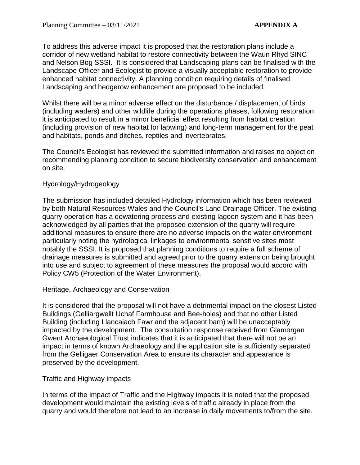To address this adverse impact it is proposed that the restoration plans include a corridor of new wetland habitat to restore connectivity between the Waun Rhyd SINC and Nelson Bog SSSI. It is considered that Landscaping plans can be finalised with the Landscape Officer and Ecologist to provide a visually acceptable restoration to provide enhanced habitat connectivity. A planning condition requiring details of finalised Landscaping and hedgerow enhancement are proposed to be included.

Whilst there will be a minor adverse effect on the disturbance / displacement of birds (including waders) and other wildlife during the operations phases, following restoration it is anticipated to result in a minor beneficial effect resulting from habitat creation (including provision of new habitat for lapwing) and long-term management for the peat and habitats, ponds and ditches, reptiles and invertebrates.

The Council's Ecologist has reviewed the submitted information and raises no objection recommending planning condition to secure biodiversity conservation and enhancement on site.

# Hydrology/Hydrogeology

The submission has included detailed Hydrology information which has been reviewed by both Natural Resources Wales and the Council's Land Drainage Officer. The existing quarry operation has a dewatering process and existing lagoon system and it has been acknowledged by all parties that the proposed extension of the quarry will require additional measures to ensure there are no adverse impacts on the water environment particularly noting the hydrological linkages to environmental sensitive sites most notably the SSSI. It is proposed that planning conditions to require a full scheme of drainage measures is submitted and agreed prior to the quarry extension being brought into use and subject to agreement of these measures the proposal would accord with Policy CW5 (Protection of the Water Environment).

# Heritage, Archaeology and Conservation

It is considered that the proposal will not have a detrimental impact on the closest Listed Buildings (Gelliargwellt Uchaf Farmhouse and Bee-holes) and that no other Listed Building (including Llancaiach Fawr and the adjacent barn) will be unacceptably impacted by the development. The consultation response received from Glamorgan Gwent Archaeological Trust indicates that it is anticipated that there will not be an impact in terms of known Archaeology and the application site is sufficiently separated from the Gelligaer Conservation Area to ensure its character and appearance is preserved by the development.

# Traffic and Highway impacts

In terms of the impact of Traffic and the Highway impacts it is noted that the proposed development would maintain the existing levels of traffic already in place from the quarry and would therefore not lead to an increase in daily movements to/from the site.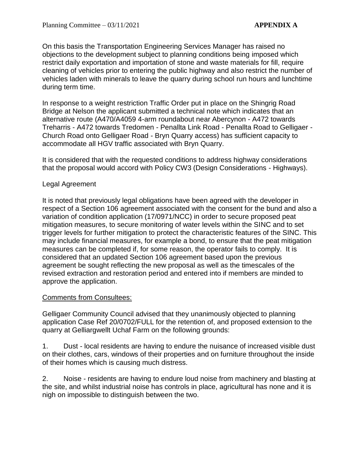On this basis the Transportation Engineering Services Manager has raised no objections to the development subject to planning conditions being imposed which restrict daily exportation and importation of stone and waste materials for fill, require cleaning of vehicles prior to entering the public highway and also restrict the number of vehicles laden with minerals to leave the quarry during school run hours and lunchtime during term time.

In response to a weight restriction Traffic Order put in place on the Shingrig Road Bridge at Nelson the applicant submitted a technical note which indicates that an alternative route (A470/A4059 4-arm roundabout near Abercynon - A472 towards Treharris - A472 towards Tredomen - Penallta Link Road - Penallta Road to Gelligaer - Church Road onto Gelligaer Road - Bryn Quarry access) has sufficient capacity to accommodate all HGV traffic associated with Bryn Quarry.

It is considered that with the requested conditions to address highway considerations that the proposal would accord with Policy CW3 (Design Considerations - Highways).

# Legal Agreement

It is noted that previously legal obligations have been agreed with the developer in respect of a Section 106 agreement associated with the consent for the bund and also a variation of condition application (17/0971/NCC) in order to secure proposed peat mitigation measures, to secure monitoring of water levels within the SINC and to set trigger levels for further mitigation to protect the characteristic features of the SINC. This may include financial measures, for example a bond, to ensure that the peat mitigation measures can be completed if, for some reason, the operator fails to comply. It is considered that an updated Section 106 agreement based upon the previous agreement be sought reflecting the new proposal as well as the timescales of the revised extraction and restoration period and entered into if members are minded to approve the application.

# Comments from Consultees:

Gelligaer Community Council advised that they unanimously objected to planning application Case Ref 20/0702/FULL for the retention of, and proposed extension to the quarry at Gelliargwellt Uchaf Farm on the following grounds:

1. Dust - local residents are having to endure the nuisance of increased visible dust on their clothes, cars, windows of their properties and on furniture throughout the inside of their homes which is causing much distress.

2. Noise - residents are having to endure loud noise from machinery and blasting at the site, and whilst industrial noise has controls in place, agricultural has none and it is nigh on impossible to distinguish between the two.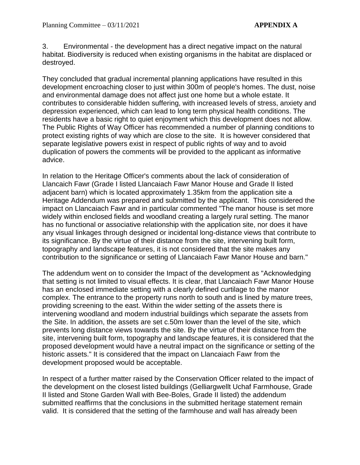3. Environmental - the development has a direct negative impact on the natural habitat. Biodiversity is reduced when existing organisms in the habitat are displaced or destroyed.

They concluded that gradual incremental planning applications have resulted in this development encroaching closer to just within 300m of people's homes. The dust, noise and environmental damage does not affect just one home but a whole estate. It contributes to considerable hidden suffering, with increased levels of stress, anxiety and depression experienced, which can lead to long term physical health conditions. The residents have a basic right to quiet enjoyment which this development does not allow. The Public Rights of Way Officer has recommended a number of planning conditions to protect existing rights of way which are close to the site. It is however considered that separate legislative powers exist in respect of public rights of way and to avoid duplication of powers the comments will be provided to the applicant as informative advice.

In relation to the Heritage Officer's comments about the lack of consideration of Llancaich Fawr (Grade I listed Llancaiach Fawr Manor House and Grade II listed adjacent barn) which is located approximately 1.35km from the application site a Heritage Addendum was prepared and submitted by the applicant. This considered the impact on Llancaiach Fawr and in particular commented "The manor house is set more widely within enclosed fields and woodland creating a largely rural setting. The manor has no functional or associative relationship with the application site, nor does it have any visual linkages through designed or incidental long-distance views that contribute to its significance. By the virtue of their distance from the site, intervening built form, topography and landscape features, it is not considered that the site makes any contribution to the significance or setting of Llancaiach Fawr Manor House and barn."

The addendum went on to consider the Impact of the development as "Acknowledging that setting is not limited to visual effects. It is clear, that Llancaiach Fawr Manor House has an enclosed immediate setting with a clearly defined curtilage to the manor complex. The entrance to the property runs north to south and is lined by mature trees, providing screening to the east. Within the wider setting of the assets there is intervening woodland and modern industrial buildings which separate the assets from the Site. In addition, the assets are set c.50m lower than the level of the site, which prevents long distance views towards the site. By the virtue of their distance from the site, intervening built form, topography and landscape features, it is considered that the proposed development would have a neutral impact on the significance or setting of the historic assets." It is considered that the impact on Llancaiach Fawr from the development proposed would be acceptable.

In respect of a further matter raised by the Conservation Officer related to the impact of the development on the closest listed buildings (Gelliargwellt Uchaf Farmhouse, Grade II listed and Stone Garden Wall with Bee-Boles, Grade II listed) the addendum submitted reaffirms that the conclusions in the submitted heritage statement remain valid. It is considered that the setting of the farmhouse and wall has already been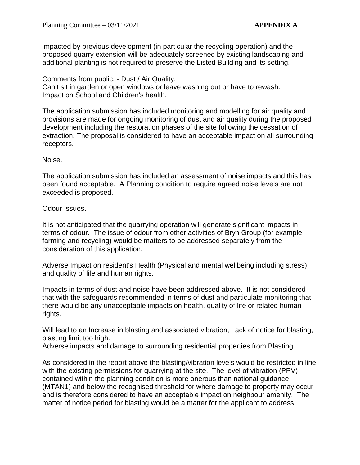impacted by previous development (in particular the recycling operation) and the proposed quarry extension will be adequately screened by existing landscaping and additional planting is not required to preserve the Listed Building and its setting.

# Comments from public: - Dust / Air Quality.

Can't sit in garden or open windows or leave washing out or have to rewash. Impact on School and Children's health.

The application submission has included monitoring and modelling for air quality and provisions are made for ongoing monitoring of dust and air quality during the proposed development including the restoration phases of the site following the cessation of extraction. The proposal is considered to have an acceptable impact on all surrounding receptors.

#### Noise.

The application submission has included an assessment of noise impacts and this has been found acceptable. A Planning condition to require agreed noise levels are not exceeded is proposed.

#### Odour Issues.

It is not anticipated that the quarrying operation will generate significant impacts in terms of odour. The issue of odour from other activities of Bryn Group (for example farming and recycling) would be matters to be addressed separately from the consideration of this application.

Adverse Impact on resident's Health (Physical and mental wellbeing including stress) and quality of life and human rights.

Impacts in terms of dust and noise have been addressed above. It is not considered that with the safeguards recommended in terms of dust and particulate monitoring that there would be any unacceptable impacts on health, quality of life or related human rights.

Will lead to an Increase in blasting and associated vibration, Lack of notice for blasting, blasting limit too high.

Adverse impacts and damage to surrounding residential properties from Blasting.

As considered in the report above the blasting/vibration levels would be restricted in line with the existing permissions for quarrying at the site. The level of vibration (PPV) contained within the planning condition is more onerous than national guidance (MTAN1) and below the recognised threshold for where damage to property may occur and is therefore considered to have an acceptable impact on neighbour amenity. The matter of notice period for blasting would be a matter for the applicant to address.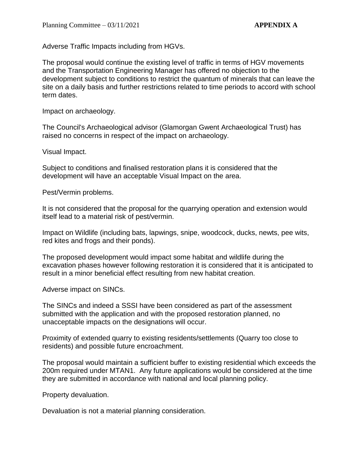Adverse Traffic Impacts including from HGVs.

The proposal would continue the existing level of traffic in terms of HGV movements and the Transportation Engineering Manager has offered no objection to the development subject to conditions to restrict the quantum of minerals that can leave the site on a daily basis and further restrictions related to time periods to accord with school term dates.

Impact on archaeology.

The Council's Archaeological advisor (Glamorgan Gwent Archaeological Trust) has raised no concerns in respect of the impact on archaeology.

Visual Impact.

Subject to conditions and finalised restoration plans it is considered that the development will have an acceptable Visual Impact on the area.

Pest/Vermin problems.

It is not considered that the proposal for the quarrying operation and extension would itself lead to a material risk of pest/vermin.

Impact on Wildlife (including bats, lapwings, snipe, woodcock, ducks, newts, pee wits, red kites and frogs and their ponds).

The proposed development would impact some habitat and wildlife during the excavation phases however following restoration it is considered that it is anticipated to result in a minor beneficial effect resulting from new habitat creation.

Adverse impact on SINCs.

The SINCs and indeed a SSSI have been considered as part of the assessment submitted with the application and with the proposed restoration planned, no unacceptable impacts on the designations will occur.

Proximity of extended quarry to existing residents/settlements (Quarry too close to residents) and possible future encroachment.

The proposal would maintain a sufficient buffer to existing residential which exceeds the 200m required under MTAN1. Any future applications would be considered at the time they are submitted in accordance with national and local planning policy.

Property devaluation.

Devaluation is not a material planning consideration.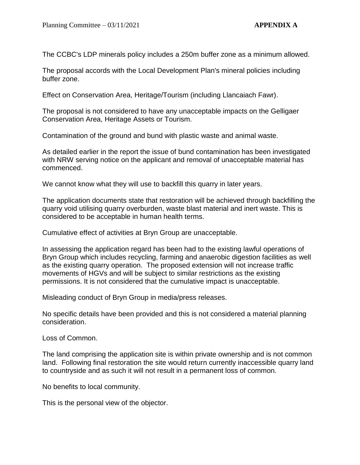The CCBC's LDP minerals policy includes a 250m buffer zone as a minimum allowed.

The proposal accords with the Local Development Plan's mineral policies including buffer zone.

Effect on Conservation Area, Heritage/Tourism (including Llancaiach Fawr).

The proposal is not considered to have any unacceptable impacts on the Gelligaer Conservation Area, Heritage Assets or Tourism.

Contamination of the ground and bund with plastic waste and animal waste.

As detailed earlier in the report the issue of bund contamination has been investigated with NRW serving notice on the applicant and removal of unacceptable material has commenced.

We cannot know what they will use to backfill this quarry in later years.

The application documents state that restoration will be achieved through backfilling the quarry void utilising quarry overburden, waste blast material and inert waste. This is considered to be acceptable in human health terms.

Cumulative effect of activities at Bryn Group are unacceptable.

In assessing the application regard has been had to the existing lawful operations of Bryn Group which includes recycling, farming and anaerobic digestion facilities as well as the existing quarry operation. The proposed extension will not increase traffic movements of HGVs and will be subject to similar restrictions as the existing permissions. It is not considered that the cumulative impact is unacceptable.

Misleading conduct of Bryn Group in media/press releases.

No specific details have been provided and this is not considered a material planning consideration.

Loss of Common.

The land comprising the application site is within private ownership and is not common land. Following final restoration the site would return currently inaccessible quarry land to countryside and as such it will not result in a permanent loss of common.

No benefits to local community.

This is the personal view of the objector.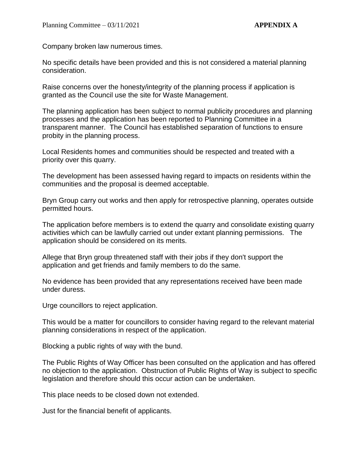Company broken law numerous times.

No specific details have been provided and this is not considered a material planning consideration.

Raise concerns over the honesty/integrity of the planning process if application is granted as the Council use the site for Waste Management.

The planning application has been subject to normal publicity procedures and planning processes and the application has been reported to Planning Committee in a transparent manner. The Council has established separation of functions to ensure probity in the planning process.

Local Residents homes and communities should be respected and treated with a priority over this quarry.

The development has been assessed having regard to impacts on residents within the communities and the proposal is deemed acceptable.

Bryn Group carry out works and then apply for retrospective planning, operates outside permitted hours.

The application before members is to extend the quarry and consolidate existing quarry activities which can be lawfully carried out under extant planning permissions. The application should be considered on its merits.

Allege that Bryn group threatened staff with their jobs if they don't support the application and get friends and family members to do the same.

No evidence has been provided that any representations received have been made under duress.

Urge councillors to reject application.

This would be a matter for councillors to consider having regard to the relevant material planning considerations in respect of the application.

Blocking a public rights of way with the bund.

The Public Rights of Way Officer has been consulted on the application and has offered no objection to the application. Obstruction of Public Rights of Way is subject to specific legislation and therefore should this occur action can be undertaken.

This place needs to be closed down not extended.

Just for the financial benefit of applicants.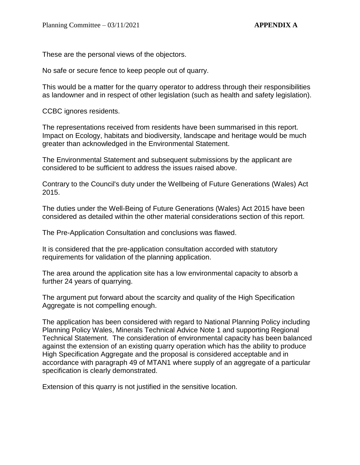These are the personal views of the objectors.

No safe or secure fence to keep people out of quarry.

This would be a matter for the quarry operator to address through their responsibilities as landowner and in respect of other legislation (such as health and safety legislation).

CCBC ignores residents.

The representations received from residents have been summarised in this report. Impact on Ecology, habitats and biodiversity, landscape and heritage would be much greater than acknowledged in the Environmental Statement.

The Environmental Statement and subsequent submissions by the applicant are considered to be sufficient to address the issues raised above.

Contrary to the Council's duty under the Wellbeing of Future Generations (Wales) Act 2015.

The duties under the Well-Being of Future Generations (Wales) Act 2015 have been considered as detailed within the other material considerations section of this report.

The Pre-Application Consultation and conclusions was flawed.

It is considered that the pre-application consultation accorded with statutory requirements for validation of the planning application.

The area around the application site has a low environmental capacity to absorb a further 24 years of quarrying.

The argument put forward about the scarcity and quality of the High Specification Aggregate is not compelling enough.

The application has been considered with regard to National Planning Policy including Planning Policy Wales, Minerals Technical Advice Note 1 and supporting Regional Technical Statement. The consideration of environmental capacity has been balanced against the extension of an existing quarry operation which has the ability to produce High Specification Aggregate and the proposal is considered acceptable and in accordance with paragraph 49 of MTAN1 where supply of an aggregate of a particular specification is clearly demonstrated.

Extension of this quarry is not justified in the sensitive location.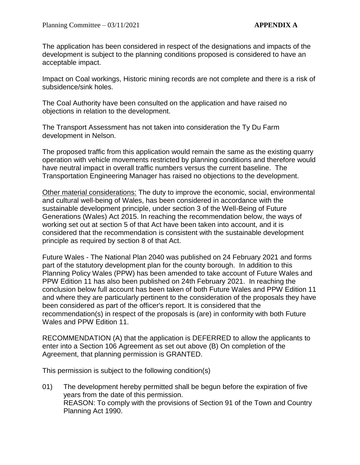The application has been considered in respect of the designations and impacts of the development is subject to the planning conditions proposed is considered to have an acceptable impact.

Impact on Coal workings, Historic mining records are not complete and there is a risk of subsidence/sink holes.

The Coal Authority have been consulted on the application and have raised no objections in relation to the development.

The Transport Assessment has not taken into consideration the Ty Du Farm development in Nelson.

The proposed traffic from this application would remain the same as the existing quarry operation with vehicle movements restricted by planning conditions and therefore would have neutral impact in overall traffic numbers versus the current baseline. The Transportation Engineering Manager has raised no objections to the development.

Other material considerations: The duty to improve the economic, social, environmental and cultural well-being of Wales, has been considered in accordance with the sustainable development principle, under section 3 of the Well-Being of Future Generations (Wales) Act 2015. In reaching the recommendation below, the ways of working set out at section 5 of that Act have been taken into account, and it is considered that the recommendation is consistent with the sustainable development principle as required by section 8 of that Act.

Future Wales - The National Plan 2040 was published on 24 February 2021 and forms part of the statutory development plan for the county borough. In addition to this Planning Policy Wales (PPW) has been amended to take account of Future Wales and PPW Edition 11 has also been published on 24th February 2021. In reaching the conclusion below full account has been taken of both Future Wales and PPW Edition 11 and where they are particularly pertinent to the consideration of the proposals they have been considered as part of the officer's report. It is considered that the recommendation(s) in respect of the proposals is (are) in conformity with both Future Wales and PPW Edition 11.

RECOMMENDATION (A) that the application is DEFERRED to allow the applicants to enter into a Section 106 Agreement as set out above (B) On completion of the Agreement, that planning permission is GRANTED.

This permission is subject to the following condition(s)

01) The development hereby permitted shall be begun before the expiration of five years from the date of this permission. REASON: To comply with the provisions of Section 91 of the Town and Country Planning Act 1990.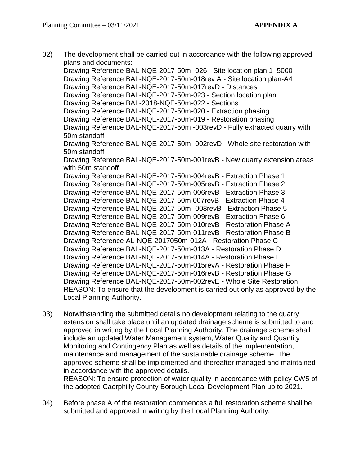02) The development shall be carried out in accordance with the following approved plans and documents: Drawing Reference BAL-NQE-2017-50m -026 - Site location plan 1\_5000 Drawing Reference BAL-NQE-2017-50m-018rev A - Site location plan-A4 Drawing Reference BAL-NQE-2017-50m-017revD - Distances Drawing Reference BAL-NQE-2017-50m-023 - Section location plan Drawing Reference BAL-2018-NQE-50m-022 - Sections Drawing Reference BAL-NQE-2017-50m-020 - Extraction phasing Drawing Reference BAL-NQE-2017-50m-019 - Restoration phasing Drawing Reference BAL-NQE-2017-50m -003revD - Fully extracted quarry with 50m standoff Drawing Reference BAL-NQE-2017-50m -002revD - Whole site restoration with 50m standoff Drawing Reference BAL-NQE-2017-50m-001revB - New quarry extension areas with 50m standoff Drawing Reference BAL-NQE-2017-50m-004revB - Extraction Phase 1 Drawing Reference BAL-NQE-2017-50m-005revB - Extraction Phase 2 Drawing Reference BAL-NQE-2017-50m-006revB - Extraction Phase 3 Drawing Reference BAL-NQE-2017-50m 007revB - Extraction Phase 4 Drawing Reference BAL-NQE-2017-50m -008revB - Extraction Phase 5 Drawing Reference BAL-NQE-2017-50m-009revB - Extraction Phase 6 Drawing Reference BAL-NQE-2017-50m-010revB - Restoration Phase A Drawing Reference BAL-NQE-2017-50m-011revB - Restoration Phase B Drawing Reference AL-NQE-2017050m-012A - Restoration Phase C Drawing Reference BAL-NQE-2017-50m-013A - Restoration Phase D Drawing Reference BAL-NQE-2017-50m-014A - Restoration Phase E Drawing Reference BAL-NQE-2017-50m-015revA - Restoration Phase F Drawing Reference BAL-NQE-2017-50m-016revB - Restoration Phase G Drawing Reference BAL-NQE-2017-50m-002revE - Whole Site Restoration REASON: To ensure that the development is carried out only as approved by the Local Planning Authority.

- 03) Notwithstanding the submitted details no development relating to the quarry extension shall take place until an updated drainage scheme is submitted to and approved in writing by the Local Planning Authority. The drainage scheme shall include an updated Water Management system, Water Quality and Quantity Monitoring and Contingency Plan as well as details of the implementation, maintenance and management of the sustainable drainage scheme. The approved scheme shall be implemented and thereafter managed and maintained in accordance with the approved details. REASON: To ensure protection of water quality in accordance with policy CW5 of the adopted Caerphilly County Borough Local Development Plan up to 2021.
- 04) Before phase A of the restoration commences a full restoration scheme shall be submitted and approved in writing by the Local Planning Authority.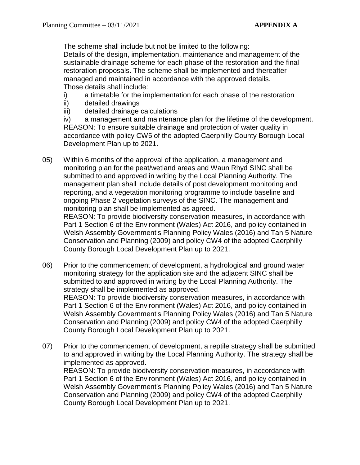The scheme shall include but not be limited to the following: Details of the design, implementation, maintenance and management of the sustainable drainage scheme for each phase of the restoration and the final restoration proposals. The scheme shall be implemented and thereafter managed and maintained in accordance with the approved details. Those details shall include:

- i) a timetable for the implementation for each phase of the restoration
- ii) detailed drawings
- iii) detailed drainage calculations

iv) a management and maintenance plan for the lifetime of the development. REASON: To ensure suitable drainage and protection of water quality in accordance with policy CW5 of the adopted Caerphilly County Borough Local Development Plan up to 2021.

05) Within 6 months of the approval of the application, a management and monitoring plan for the peat/wetland areas and Waun Rhyd SINC shall be submitted to and approved in writing by the Local Planning Authority. The management plan shall include details of post development monitoring and reporting, and a vegetation monitoring programme to include baseline and ongoing Phase 2 vegetation surveys of the SINC. The management and monitoring plan shall be implemented as agreed.

REASON: To provide biodiversity conservation measures, in accordance with Part 1 Section 6 of the Environment (Wales) Act 2016, and policy contained in Welsh Assembly Government's Planning Policy Wales (2016) and Tan 5 Nature Conservation and Planning (2009) and policy CW4 of the adopted Caerphilly County Borough Local Development Plan up to 2021.

06) Prior to the commencement of development, a hydrological and ground water monitoring strategy for the application site and the adjacent SINC shall be submitted to and approved in writing by the Local Planning Authority. The strategy shall be implemented as approved. REASON: To provide biodiversity conservation measures, in accordance with Part 1 Section 6 of the Environment (Wales) Act 2016, and policy contained in Welsh Assembly Government's Planning Policy Wales (2016) and Tan 5 Nature Conservation and Planning (2009) and policy CW4 of the adopted Caerphilly

County Borough Local Development Plan up to 2021. 07) Prior to the commencement of development, a reptile strategy shall be submitted to and approved in writing by the Local Planning Authority. The strategy shall be implemented as approved.

REASON: To provide biodiversity conservation measures, in accordance with Part 1 Section 6 of the Environment (Wales) Act 2016, and policy contained in Welsh Assembly Government's Planning Policy Wales (2016) and Tan 5 Nature Conservation and Planning (2009) and policy CW4 of the adopted Caerphilly County Borough Local Development Plan up to 2021.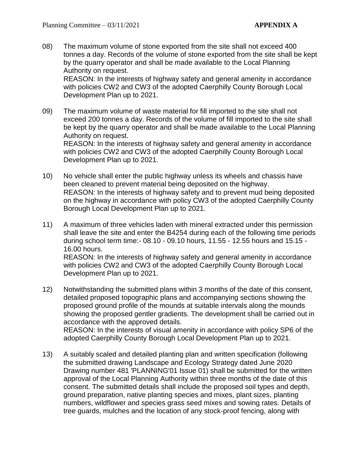08) The maximum volume of stone exported from the site shall not exceed 400 tonnes a day. Records of the volume of stone exported from the site shall be kept by the quarry operator and shall be made available to the Local Planning Authority on request.

REASON: In the interests of highway safety and general amenity in accordance with policies CW2 and CW3 of the adopted Caerphilly County Borough Local Development Plan up to 2021.

09) The maximum volume of waste material for fill imported to the site shall not exceed 200 tonnes a day. Records of the volume of fill imported to the site shall be kept by the quarry operator and shall be made available to the Local Planning Authority on request. REASON: In the interests of highway safety and general amenity in accordance

with policies CW2 and CW3 of the adopted Caerphilly County Borough Local Development Plan up to 2021.

- 10) No vehicle shall enter the public highway unless its wheels and chassis have been cleaned to prevent material being deposited on the highway. REASON: In the interests of highway safety and to prevent mud being deposited on the highway in accordance with policy CW3 of the adopted Caerphilly County Borough Local Development Plan up to 2021.
- 11) A maximum of three vehicles laden with mineral extracted under this permission shall leave the site and enter the B4254 during each of the following time periods during school term time:- 08.10 - 09.10 hours, 11.55 - 12.55 hours and 15.15 - 16.00 hours. REASON: In the interests of highway safety and general amenity in accordance with policies CW2 and CW3 of the adopted Caerphilly County Borough Local Development Plan up to 2021.
- 12) Notwithstanding the submitted plans within 3 months of the date of this consent, detailed proposed topographic plans and accompanying sections showing the proposed ground profile of the mounds at suitable intervals along the mounds showing the proposed gentler gradients. The development shall be carried out in accordance with the approved details. REASON: In the interests of visual amenity in accordance with policy SP6 of the adopted Caerphilly County Borough Local Development Plan up to 2021.
- 13) A suitably scaled and detailed planting plan and written specification (following the submitted drawing Landscape and Ecology Strategy dated June 2020 Drawing number 481 'PLANNING'01 Issue 01) shall be submitted for the written approval of the Local Planning Authority within three months of the date of this consent. The submitted details shall include the proposed soil types and depth, ground preparation, native planting species and mixes, plant sizes, planting numbers, wildflower and species grass seed mixes and sowing rates. Details of tree guards, mulches and the location of any stock-proof fencing, along with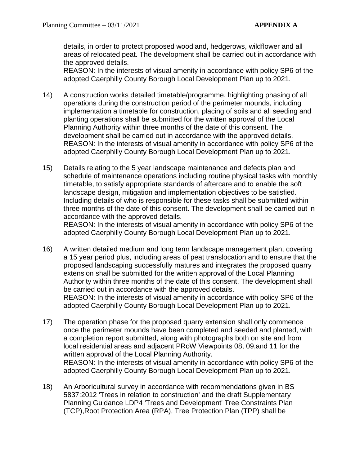details, in order to protect proposed woodland, hedgerows, wildflower and all areas of relocated peat. The development shall be carried out in accordance with the approved details.

REASON: In the interests of visual amenity in accordance with policy SP6 of the adopted Caerphilly County Borough Local Development Plan up to 2021.

- 14) A construction works detailed timetable/programme, highlighting phasing of all operations during the construction period of the perimeter mounds, including implementation a timetable for construction, placing of soils and all seeding and planting operations shall be submitted for the written approval of the Local Planning Authority within three months of the date of this consent. The development shall be carried out in accordance with the approved details. REASON: In the interests of visual amenity in accordance with policy SP6 of the adopted Caerphilly County Borough Local Development Plan up to 2021.
- 15) Details relating to the 5 year landscape maintenance and defects plan and schedule of maintenance operations including routine physical tasks with monthly timetable, to satisfy appropriate standards of aftercare and to enable the soft landscape design, mitigation and implementation objectives to be satisfied. Including details of who is responsible for these tasks shall be submitted within three months of the date of this consent. The development shall be carried out in accordance with the approved details.

REASON: In the interests of visual amenity in accordance with policy SP6 of the adopted Caerphilly County Borough Local Development Plan up to 2021.

- 16) A written detailed medium and long term landscape management plan, covering a 15 year period plus, including areas of peat translocation and to ensure that the proposed landscaping successfully matures and integrates the proposed quarry extension shall be submitted for the written approval of the Local Planning Authority within three months of the date of this consent. The development shall be carried out in accordance with the approved details. REASON: In the interests of visual amenity in accordance with policy SP6 of the adopted Caerphilly County Borough Local Development Plan up to 2021.
- 17) The operation phase for the proposed quarry extension shall only commence once the perimeter mounds have been completed and seeded and planted, with a completion report submitted, along with photographs both on site and from local residential areas and adjacent PRoW Viewpoints 08, 09,and 11 for the written approval of the Local Planning Authority. REASON: In the interests of visual amenity in accordance with policy SP6 of the adopted Caerphilly County Borough Local Development Plan up to 2021.
- 18) An Arboricultural survey in accordance with recommendations given in BS 5837:2012 'Trees in relation to construction' and the draft Supplementary Planning Guidance LDP4 'Trees and Development' Tree Constraints Plan (TCP),Root Protection Area (RPA), Tree Protection Plan (TPP) shall be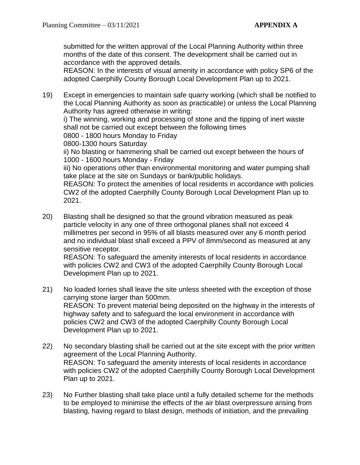submitted for the written approval of the Local Planning Authority within three months of the date of this consent. The development shall be carried out in accordance with the approved details.

REASON: In the interests of visual amenity in accordance with policy SP6 of the adopted Caerphilly County Borough Local Development Plan up to 2021.

- 19) Except in emergencies to maintain safe quarry working (which shall be notified to the Local Planning Authority as soon as practicable) or unless the Local Planning Authority has agreed otherwise in writing: i) The winning, working and processing of stone and the tipping of inert waste shall not be carried out except between the following times 0800 - 1800 hours Monday to Friday 0800-1300 hours Saturday ii) No blasting or hammering shall be carried out except between the hours of 1000 - 1600 hours Monday - Friday iii) No operations other than environmental monitoring and water pumping shall take place at the site on Sundays or bank/public holidays. REASON: To protect the amenities of local residents in accordance with policies CW2 of the adopted Caerphilly County Borough Local Development Plan up to 2021.
- 20) Blasting shall be designed so that the ground vibration measured as peak particle velocity in any one of three orthogonal planes shall not exceed 4 millimetres per second in 95% of all blasts measured over any 6 month period and no individual blast shall exceed a PPV of 8mm/second as measured at any sensitive receptor. REASON: To safeguard the amenity interests of local residents in accordance with policies CW2 and CW3 of the adopted Caerphilly County Borough Local Development Plan up to 2021.
- 21) No loaded lorries shall leave the site unless sheeted with the exception of those carrying stone larger than 500mm. REASON: To prevent material being deposited on the highway in the interests of highway safety and to safeguard the local environment in accordance with policies CW2 and CW3 of the adopted Caerphilly County Borough Local Development Plan up to 2021.
- 22) No secondary blasting shall be carried out at the site except with the prior written agreement of the Local Planning Authority. REASON: To safeguard the amenity interests of local residents in accordance with policies CW2 of the adopted Caerphilly County Borough Local Development Plan up to 2021.
- 23) No Further blasting shall take place until a fully detailed scheme for the methods to be employed to minimise the effects of the air blast overpressure arising from blasting, having regard to blast design, methods of initiation, and the prevailing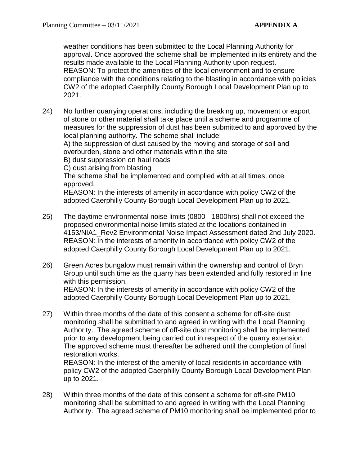weather conditions has been submitted to the Local Planning Authority for approval. Once approved the scheme shall be implemented in its entirety and the results made available to the Local Planning Authority upon request. REASON: To protect the amenities of the local environment and to ensure compliance with the conditions relating to the blasting in accordance with policies CW2 of the adopted Caerphilly County Borough Local Development Plan up to 2021.

24) No further quarrying operations, including the breaking up, movement or export of stone or other material shall take place until a scheme and programme of measures for the suppression of dust has been submitted to and approved by the local planning authority. The scheme shall include:

A) the suppression of dust caused by the moving and storage of soil and overburden, stone and other materials within the site

B) dust suppression on haul roads

C) dust arising from blasting

The scheme shall be implemented and complied with at all times, once approved.

REASON: In the interests of amenity in accordance with policy CW2 of the adopted Caerphilly County Borough Local Development Plan up to 2021.

- 25) The daytime environmental noise limits (0800 1800hrs) shall not exceed the proposed environmental noise limits stated at the locations contained in 4153/NIA1\_Rev2 Environmental Noise Impact Assessment dated 2nd July 2020. REASON: In the interests of amenity in accordance with policy CW2 of the adopted Caerphilly County Borough Local Development Plan up to 2021.
- 26) Green Acres bungalow must remain within the ownership and control of Bryn Group until such time as the quarry has been extended and fully restored in line with this permission. REASON: In the interests of amenity in accordance with policy CW2 of the

adopted Caerphilly County Borough Local Development Plan up to 2021.

27) Within three months of the date of this consent a scheme for off-site dust monitoring shall be submitted to and agreed in writing with the Local Planning Authority. The agreed scheme of off-site dust monitoring shall be implemented prior to any development being carried out in respect of the quarry extension. The approved scheme must thereafter be adhered until the completion of final restoration works.

REASON: In the interest of the amenity of local residents in accordance with policy CW2 of the adopted Caerphilly County Borough Local Development Plan up to 2021.

28) Within three months of the date of this consent a scheme for off-site PM10 monitoring shall be submitted to and agreed in writing with the Local Planning Authority. The agreed scheme of PM10 monitoring shall be implemented prior to